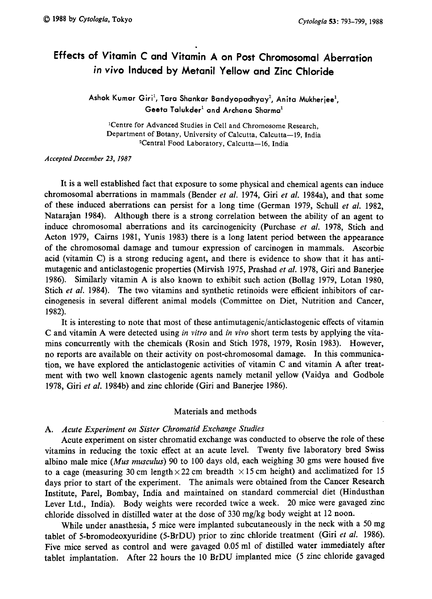# Effects of Vitamin C and Vitamin A on Post Chromosomal Aberration in vivo Induced by Metanil Yellow and Zinc Chloride

Ashok Kumar Giri<sup>1</sup>, Tara Shankar Bandyopadhyay<sup>2</sup>, Anita Mukherjee<sup>1</sup>, Geeta Talukder<sup>1</sup> and Archana Sharma<sup>1</sup>

<sup>1</sup>Centre for Advanced Studies in Cell and Chromosome Research, Department of Botany, University of Calcutta, Calcutta-19, India <sup>2</sup>Central Food Laboratory, Calcutta-16, India

## Accepted December 23, 1987

It is a well established fact that exposure to some physical and chemical agents can induce chromosomal aberrations in mammals (Bender et al. 1974, Giri et al. 1984a), and that some of these induced aberrations can persist for a long time (German 1979, Schull et al. 1982, Natarajan 1984). Although there is a strong correlation between the ability of an agent to induce chromosomal aberrations and its carcinogenicity (Purchase et al. 1978, Stich and Acton 1979, Cairns 1981, Yunis 1983) there is a long latent period between the appearance of the chromosomal damage and tumour expression of carcinogen in mammals. Ascorbic acid (vitamin C) is a strong reducing agent, and there is evidence to show that it has anti mutagenic and anticlastogenic properties (Mirvish 1975, Prashad *et al.* 1978, Giri and Baneriee 1986). Similarly vitamin A is also known to exhibit such action (Bollag 1979, Lotan 1980, Stich et al. 1984). The two vitamins and synthetic retinoids were efficient inhibitors of carcinogenesis in several different animal models (Committee on Diet, Nutrition and Cancer, 1982).

It is interesting to note that most of these antimutagenic/anticlastogenic effects of vitamin C and vitamin A were detected using in vitro and in vivo short term tests by applying the vitamins concurrently with the chemicals (Rosin and Stich 1978, 1979, Rosin 1983). However, no reports are available on their activity on post-chromosomal damage. In this communica tion, we have explored the anticlastogenic activities of vitamin C and vitamin A after treat ment with two well known clastogenic agents namely metanil yellow (Vaidya and Godbole 1978, Giri et al. 1984b) and zinc chloride (Giri and Banerjee 1986).

## Materials and methods

# A. Acute Experiment on Sister Chromatid Exchange Studies

Acute experiment on sister chromatid exchange was conducted to observe the role of these vitamins in reducing the toxic effect at an acute level. Twenty five laboratory bred Swiss albino male mice (Mus musculus) 90 to 100 days old, each weighing 30 gms were housed five to a cage (measuring 30 cm length  $\times$  22 cm breadth  $\times$  15 cm height) and acclimatized for 15 days prior to start of the experiment. The animals were obtained from the Cancer Research Institute, Parel, Bombay, India and maintained on standard commercial diet (Hindusthan Lever Ltd., India). Body weights were recorded twice a week. 20 mice were gavaged zinc chloride dissolved in distilled water at the dose of 330mg/kg body weight at 12 noon.

While under anasthesia, 5 mice were implanted subcutaneously in the neck with a 50mg tablet of 5-bromodeoxyuridine (5-BrDU) prior to zinc chloride treatment (Giri et al. 1986). Five mice served as control and were gavaged 0.05ml of distilled water immediately after tablet implantation. After 22 hours the 10 BrDU implanted mice (5 zinc chloride gavaged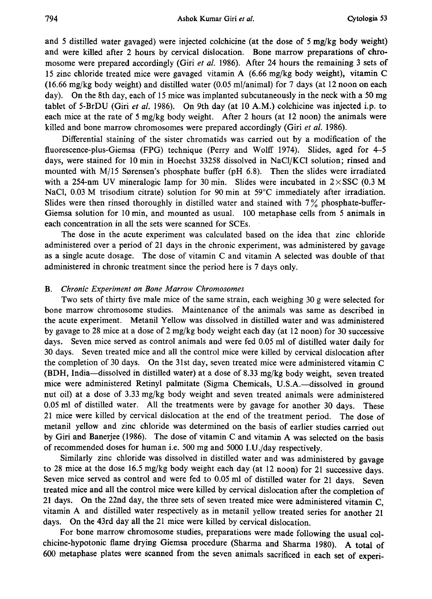and 5 distilled water gavaged) were injected colchicine (at the dose of 5mg/kg body weight) and were killed after 2 hours by cervical dislocation. Bone marrow preparations of chro mosome were prepared accordingly (Giri et al. 1986). After 24 hours the remaining 3 sets of 15 zinc chloride treated mice were gavaged vitamin A (6.66mg/kg body weight), vitamin C  $(16.66 \text{ mg/kg}$  body weight) and distilled water  $(0.05 \text{ ml/animal})$  for 7 days (at 12 noon on each day). On the 8th day, each of 15 mice was implanted subcutaneously in the neck with a 50mg tablet of 5-BrDU (Giri et al. 1986). On 9th day (at 10 A.M.) colchicine was injected i.p. to each mice at the rate of 5mg/kg body weight. After 2 hours (at 12 noon) the animals were killed and bone marrow chromosomes were prepared accordingly (Giri *et al.* 1986).

Differential staining of the sister chromatids was carried out by a modification of the fluorescence-plus-Giemsa (FPG) technique (Perry and Wolff 1974). Slides, aged for 4-5 days, were stained for 10 min in Hoechst 33258 dissolved in NaCl/KCl solution; rinsed and mounted with  $M/15$  Sørensen's phosphate buffer (pH 6.8). Then the slides were irradiated with a 254-nm UV mineralogic lamp for 30 min. Slides were incubated in  $2 \times$ SSC (0.3 M NaCl, 0.03 M trisodium citrate) solution for 90 min at  $59^{\circ}$ C immediately after irradiation. Slides were then rinsed thoroughly in distilled water and stained with  $7\%$  phosphate-buffer-Giemsa solution for 10 min, and mounted as usual. 100 metaphase cells from 5 animals in each concentration in all the sets were scanned for SCEs.

The dose in the acute experiment was calculated based on the idea that zinc chloride administered over a period of 21 days in the chronic experiment, was administered by gavage as a single acute dosage. The dose of vitamin C and vitamin A selected was double of that administered in chronic treatment since the period here is 7 days only.

## B. Chronic Experiment on Bone Marrow Chromosomes

Two sets of thirty five male mice of the same strain, each weighing 30g were selected for bone marrow chromosome studies. Maintenance of the animals was same as described in the acute experiment. Metanil Yellow was dissolved in distilled water and was administered by gavage to 28 mice at a dose of 2mg/kg body weight each day (at 12 noon) for 30 successive days. Seven mice served as control animals and were fed 0.05ml of distilled water daily for 30 days. Seven treated mice and all the control mice were killed by cervical dislocation after the completion of 30 days. On the 31st day, seven treated mice were administered vitamin C (BDH, India-dissolved in distilled water) at a dose of 8.33mg/kg body weight, seven treated mice were administered Retinyl palmitate (Sigma Chemicals, U.S.A.-dissolved in ground nut oil) at a dose of 3.33mg/kg body weight and seven treated animals were administered 0.05ml of distilled water. All the treatments were by gavage for another 30 days. These 21 mice were killed by cervical dislocation at the end of the treatment period. The dose of metanil yellow and zinc chloride was determined on the basis of earlier studies carried out by Giri and Banerjee (1986). The dose of vitamin C and vitamin A was selected on the basis of recommended doses for human i.e. 500mg and 5000 I. U./day respectively.

Similarly zinc chloride was dissolved in distilled water and was administered by gavage to 28 mice at the dose 16.5mg/kg body weight each day (at 12 noon) for 21 successive days. Seven mice served as control and were fed to 0.05ml of distilled water for 21 days. Seven treated mice and all the control mice were killed by cervical dislocation after the completion of 21 days. On the 22nd day, the three sets of seven treated mice were administered vitamin C, vitamin A and distilled water respectively as in metanil yellow treated series for another 21 days. On the 43rd day all the 21 mice were killed by cervical dislocation.

For bone marrow chromosome studies, preparations were made following the usual col chicine-hypotonic flame drying Giemsa procedure (Sharma and Sharma 1980). A total of 600 metaphase plates were scanned from the seven animals sacrificed in each set of experi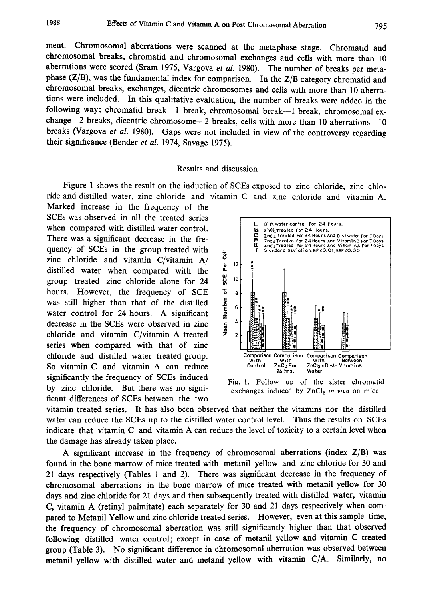ment. Chromosomal aberrations were scanned at the metaphase stage. Chromatid and chromosomal breaks, chromatid and chromosomal exchanges and cells with more than 10 aberrations were scored (Sram 1975, Vargova et al. 1980). The number of breaks per metaphase (Z/B), was the fundamental index for comparison. In the Z/B category chromatid and chromosomal breaks, exchanges, dicentric chromosomes and cells with more than 10 aberra tions were included. In this qualitative evaluation, the number of breaks were added in the following way: chromatid break--1 break, chromosomal break--1 break, chromosomal exchange-2 breaks, dicentric chromosome-2 breaks, cells with more than 10 aberrations-10 breaks (Vargova et al. 1980). Gaps were not included in view of the controversy regarding their significance (Bender et al. 1974, Savage 1975).

## Results and discussion

Figure 1 shows the result on the induction of SCEs exposed to zinc chloride, zinc chlo ride and distilled water, zinc chloride and vitamin C and zinc chloride and vitamin A .

Marked increase in the frequency of the SCEs was observed in all the treated series when compared with distilled water control. There was a significant decrease in the fre quency of SCEs in the group treated with zinc chloride and vitamin C/vitamin A/ distilled water when compared with the group treated zinc chloride alone for 24 hours. However, the frequency of SCE was still higher than that of the distilled water control for 24 hours. A significant decrease in the SCEs were observed in zinc chloride and vitamin C/vitamin A treated series when compared with that of zinc chloride and distilled water treated group. So vitamin C and vitamin A can reduce significantly the frequency of SCEs induced by zinc chloride. But there was no signi ficant differences of SCEs between the two



Fig. 1. Follow up of the sister chromatid exchanges induced by  $ZnCl<sub>2</sub>$  in vivo on mice.

vitamin treated series. It has also been observed that neither the vitamins nor the distilled water can reduce the SCEs up to the distilled water control level. Thus the results on SCEs indicate that vitamin C and vitamin A can reduce the level of toxicity to a certain level when the damage has already taken place.

A significant increase in the frequency of chromosomal aberrations (index  $Z/B$ ) was found in the bone marrow of mice treated with metanil yellow and zinc chloride for 30 and 21 days respectively (Tables 1 and 2). There was significant decrease in the frequency of chromosomal aberrations in the bone marrow of mice treated with metanil yellow for 30 days and zinc chloride for 21 days and then subsequently treated with distilled water, vitamin C, vitamin A (retinyl palmitate) each separately for 30 and 21 days respectively when com pared to Metanil Yellow and zinc chloride treated series. However, even at this sample time, the frequency of chromosomal aberration was still significantly higher than that observed following distilled water control; except in case of metanil yellow and vitamin C treated group (Table 3). No significant difference in chromosomal aberration was observed between metanil yellow with distilled water and metanil yellow with vitamin C/A. Similarly, no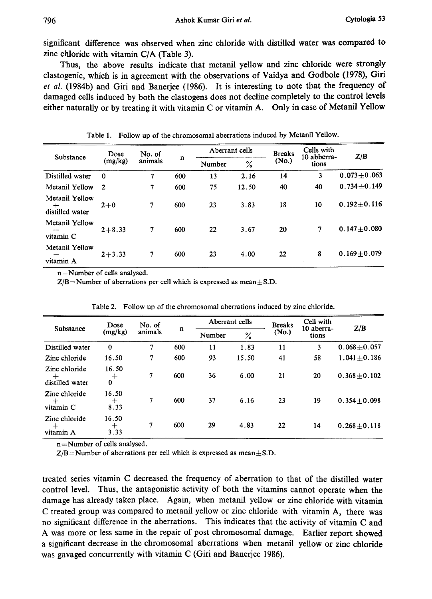significant difference was observed when zinc chloride with distilled water was compared to zinc chloride with vitamin C/A (Table 3).

Thus, the above results indicate that metanil yellow and zinc chloride were strongly clastogenic, which is in agreement with the observations of Vaidya and Godbole (1978), Giri et al. (1984b) and Giri and Banerjee (1986). It is interesting to note that the frequency of damaged cells induced by both the clastogens does not decline completely to the control levels either naturally or by treating it with vitamin C or vitamin A. Only in case of Metanil Yellow

| Substance                                   | Dose<br>(mg/kg) | No. of<br>animals | n   | Aberrant cells |       | <b>Breaks</b> | Cells with<br>10 abberra- | Z/B               |
|---------------------------------------------|-----------------|-------------------|-----|----------------|-------|---------------|---------------------------|-------------------|
|                                             |                 |                   |     | Number         | ℅     | (No.)         | tions                     |                   |
| Distilled water                             | $\bf{0}$        | 7                 | 600 | 13             | 2.16  | 14            | 3                         | $0.073 \pm 0.063$ |
| Metanil Yellow                              | $\overline{2}$  | 7                 | 600 | 75             | 12.50 | 40            | 40                        | $0.734 \pm 0.149$ |
| Metanil Yellow<br>$^{+}$<br>distilled water | $2 + 0$         | 7                 | 600 | 23             | 3.83  | 18            | 10                        | $0.192 \pm 0.116$ |
| Metanil Yellow<br>$\pm$<br>vitamin C        | $2 + 8.33$      | 7                 | 600 | 22             | 3.67  | 20            | 7                         | $0.147 + 0.080$   |
| Metanil Yellow<br>$^{+}$<br>vitamin A       | $2 + 3.33$      | 7                 | 600 | 23             | 4.00  | 22            | 8                         | $0.169 + 0.079$   |

Table 1. Follow up of the chromosomal aberrations induced by Metanil Yellow.

n=Number of cells analysed.

 $Z/B =$ Number of aberrations per cell which is expressed as mean $\pm$ S.D.

| Substance                                                            | Dose                    | No. of  |     | Aberrant cells |       | <b>Breaks</b> | Cell with           | Z/B               |
|----------------------------------------------------------------------|-------------------------|---------|-----|----------------|-------|---------------|---------------------|-------------------|
|                                                                      | (mg/kg)                 | animals | n   | Number         | $\%$  | (No.)         | 10 aberra-<br>tions |                   |
| Distilled water                                                      | $\bf{0}$                | 7       | 600 | 11             | 1.83  | 11            | 3                   | $0.068 + 0.057$   |
| Zinc chloride                                                        | 16.50                   | 7       | 600 | 93             | 15.50 | 41            | 58                  | $1.041 + 0.186$   |
| Zinc chloride<br>$\hspace{0.1mm} +\hspace{0.1mm}$<br>distilled water | 16.50<br>$\,{}^+$<br>0  | $\tau$  | 600 | 36             | 6.00  | 21            | 20                  | $0.368 \pm 0.102$ |
| Zinc chloride<br>$^{+}$<br>vitamin C                                 | 16.50<br>$\pm$<br>8.33  | 7       | 600 | 37             | 6.16  | 23            | 19                  | $0.354 \pm 0.098$ |
| Zinc chloride<br>$^{+}$<br>vitamin A                                 | 16.50<br>$^{+}$<br>3.33 | 7       | 600 | 29             | 4.83  | 22            | 14                  | $0.268 \pm 0.118$ |

Table 2. Follow up of the chromosomal aberrations induced by zinc chloride.

n=Number of cells analysed.

 $Z/B=N$ umber of aberrations per eell which is expressed as mean  $\pm$  S.D.

treated series vitamin C decreased the frequency of aberration to that of the distilled water control level. Thus, the antagonistic activity of both the vitamins cannot operate when the damage has already taken place. Again, when metanil yellow or zinc chloride with vitamin C treated group was compared to metanil yellow or zinc chloride with vitamin A, there was no significant difference in the aberrations. This indicates that the activity of vitamin C and A was more or less same in the repair of post chromosomal damage. Earlier report showed a significant decrease in the chromosomal aberrations when metanil yellow or zinc chloride was gavaged concurrently with vitamin C (Giri and Banerjee 1986).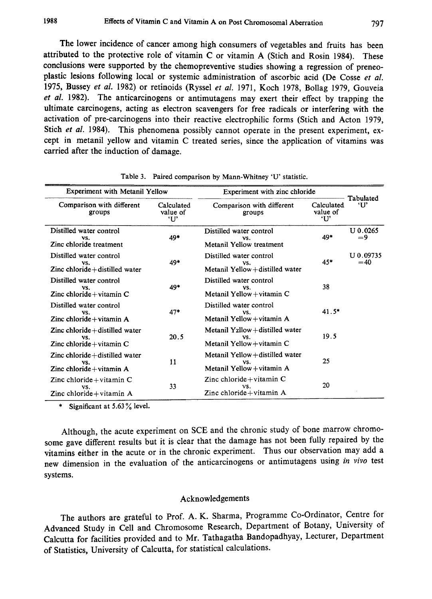The lower incidence of cancer among high consumers of vegetables and fruits has been attributed to the protective role of vitamin C or vitamin A (Stich and Rosin 1984). These conclusions were supported by the chemopreventive studies showing a regression of preneo plastic lesions following local or systemic administration of ascorbic acid (De Cosse et al. 1975, Bussey et al. 1982) or retinoids (Ryssel et al. 1971, Koch 1978, Bollag 1979, Gouveia et al. 1982). The anticarcinogens or antimutagens may exert their effect by trapping the ultimate carcinogens, acting as electron scavengers for free radicals or interfering with the activation of pre-carcinogens into their reactive electrophilic forms (Stich and Acton 1979, Stich et al. 1984). This phenomena possibly cannot operate in the present experiment, except in metanil yellow and vitamin C treated series, since the application of vitamins was carried after the induction of damage.

| <b>Experiment with Metanil Yellow</b>                                             |                               | Experiment with zinc chloride                                         |                               |                    |
|-----------------------------------------------------------------------------------|-------------------------------|-----------------------------------------------------------------------|-------------------------------|--------------------|
| Comparison with different<br>groups                                               | Calculated<br>value of<br>'U' | Comparison with different<br>groups                                   | Calculated<br>value of<br>'U' | Tabulated<br>ʻU    |
| Distilled water control<br>VS.<br>Zinc chloride treatment                         | 49*                           | Distilled water control<br>VS.<br>Metanil Yellow treatment            | 49*                           | U 0.0265<br>=9     |
| Distilled water control<br>VS.<br>Zinc chloride+distilled water                   | 49*                           | Distilled water control<br>VS.<br>Metanil Yellow + distilled water    | $45*$                         | U 0.09735<br>$=40$ |
| Distilled water control<br>VS.<br>Zinc chloride + vitamin $C$                     | 49*                           | Distilled water control<br>VS.<br>Metanil Yellow+vitamin C            | 38                            |                    |
| Distilled water control<br>VS.<br>Zinc chloride + vitamin $A$                     | $47*$                         | Distilled water control<br>VS.<br>Metanil Yellow+vitamin A            | $41.5*$                       |                    |
| $\mathsf{Z}$ inc chloride + distilled water<br>VS.<br>Zinc chloride $+$ vitamin C | 20.5                          | Metanil Yzllow+distilled water<br>VS.<br>Metanil Yellow + vitamin $C$ | 19.5                          |                    |
| $\mathsf{Z}$ inc chloride $+$ distilled water<br>VS.<br>Zinc chloride+vitamin A   | 11                            | Metanil Yellow+distilled water<br>VS.<br>Metanil Yellow+vitamin A     | 25                            |                    |
| Zinc chloride + vitamin $C$<br>VS.<br>Zinc chloride+vitamin A                     | 33                            | Zinc chloride + vitamin $C$<br>VS.<br>Zinc chloride + vitamin $A$     | 20                            |                    |

Table 3. Paired comparison by Mann-Whitney 'U' statistic.

\* Significant at 5.63% level.

Although, the acute experiment on SCE and the chronic study of bone marrow chromo some gave different results but it is clear that the damage has not been fully repaired by the vitamins either in the acute or in the chronic experiment. Thus our observation may add a new dimension in the evaluation of the anticarcinogens or antimutagens using in vivo test systems.

#### Acknowledgements

The authors are grateful to Prof. A. K. Sharma, Programme Co-Ordinator, Centre for Advanced Study in Cell and Chromosome Research, Department of Botany, University of Calcutta for facilities provided and to Mr. Tathagatha Bandopadhyay, Lecturer, Department of Statistics, University of Calcutta, for statistical calculations.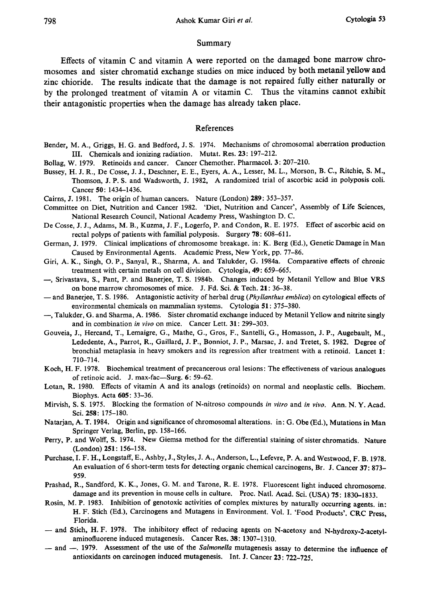### Summary

Effects of vitamin C and vitamin A were reported on the damaged bone marrow chro mosomes and sister chromatid exchange studies on mice induced by both metanil yellow and zinc chioride. The results indicate that the damage is not repaired fully either naturally or by the prolonged treatment of vitamin A or vitamin C. Thus the vitamins cannot exhibit their antagonistic properties when the damage has already taken place.

#### References

- Bender, M. A., Griggs, H. G. and Bedford, J. S. 1974. Mechanisms of chromosomal aberration production III. Chemicals and ionizing radiation. Mutat. Res. 23: 197-212.
- Bollag, W. 1979. Retinoids and cancer. Cancer Chemother. Pharmacol. 3: 207-210.
- Bussey, H. J. R., De Cosse, J. J., Deschner, E. E., Eyers, A. A., Lesser, M. L., Morson, B. C., Ritchie, S. M., Thomson, J. P. S. and Wadsworth, J. 1982, A randomized trial of ascorbic acid in polyposis coli. Cancer 50: 1434-1436.
- Cairns, J. 1981. The origin of human cancers. Nature (London) 289: 353-357.
- Committee on Diet, Nutrition and Cancer 1982. 'Diet, Nutrition and Cancer', Assembly of Life Sciences, National Research Council, National Academy Press, Washington D. C.
- De Cosse, J. J., Adams, M. B., Kuzma, J. F., Logerfo, P. and Condon, R. E. 1975. Effect of ascorbic acid on rectal polyps of patients with familial polyposis. Surgery 78: 608-611.
- German, J. 1979. Clinical implications of chromosome breakage. in: K. Berg (Ed.), Genetic Damage in Man Caused by Environmental Agents. Academic Press, New York, pp. 77-86.
- Giri, A. K., Singh, O. P., Sanyal, R., Sharma, A. and Talukder, G. 1984a. Comparative effects of chronic treatment with certain metals on cell division. Cytologia, 49: 659-665.
- -, Srivastava, S., Pant, P. and Banerjee, T. S. 1984b. Changes induced by Metanil Yellow and Blue VRS on bone marrow chromosomes of mice. J. Fd. Sci. & Tech. 21: 36-38.
- and Banerjee, T. S. 1986. Antagonistic activity of herbal drug (Phyllanthus emblica) on cytological effects of environmental chemicals on mammalian systems. Cytologia 51: 375-380.
- , Talukder, G. and Sharma, A. 1986. Sister chromatid exchange induced by Metanil Yellow and nitrite singly and in combination in vivo on mice. Cancer Lett. 31: 299-303.
- Gouveia, J., Hercand, T., Lemaigre, G., Mathe, G., Gros, F., Santelli, G., Homasson, J. P., Augebault, M., Lededente, A., Parrot, R., Gaillard, J. P., Bonniot, J. P., Marsac, J. and Tretet, S. 1982. Degree of bronchial metaplasia in heavy smokers and its regression after treatment with a retinoid. Lancet 1: 710-714.
- Koch, H. F. 1978. Biochemical treatment of precancerous oral lesions: The effectiveness of various analogues of retinoic acid. J. max-fac-Surg. 6: 59-62.
- Lotan, R. 1980. Effects of vitamin A and its analogs (retinoids) on normal and neoplastic cells. Biochem. Biophys. Acta 605: 33-36.
- Mirvish, S. S. 1975. Blocking the formation of N-nitroso compounds in vitro and in vivo. Ann. N. Y. Acad. Sci. 258: 175-180.
- Natarjan, A. T. 1984. Origin and significance of chromosomal alterations. in: G. Obe (Ed.), Mutations in Man Springer Verlag, Berlin, pp. 158-166.
- Perry, P. and Wolff, S. 1974. New Giemsa method for the differential staining of sister chromatids. Nature (London) 251: 156-158.
- Purchase, I. F. H., Longstaff, E., Ashby, J., Styles, J. A., Anderson, L., Lefevre, P. A. and Westwood, F. B. 1978. An evaluation of 6 short-term tests for detecting organic chemical carcinogens, Br. J. Cancer 37: 873 -959.
- Prashad, R., Sandford, K. K., Jones, G. M. and Tarone, R. E. 1978. Fluorescent light induced chromosome. damage and its prevention in mouse cells in culture. Proc. Natl. Acad. Sci. (USA) 75: 1830-1833.
- Rosin, M. P. 1983. Inhibition of genotoxic activities of complex mixtures by naturally occurring agents. in: H. F. Stich (Ed.), Carcinogens and Mutagens in Environment. Vol. I. 'Food Products'. CRC Press , Florida.
- and Stich, H. F. 1978. The inhibitory effect of reducing agents on N-acetoxy and N-hydroxy-2-acetylaminofluorene induced mutagenesis. Cancer Res. 38: 1307-1310.
- and -. 1979. Assessment of the use of the Salmonella mutagenesis assay to determine the influence of antioxidants on carcinogen induced mutagenesis. Int. J. Cancer 23: 722-725.